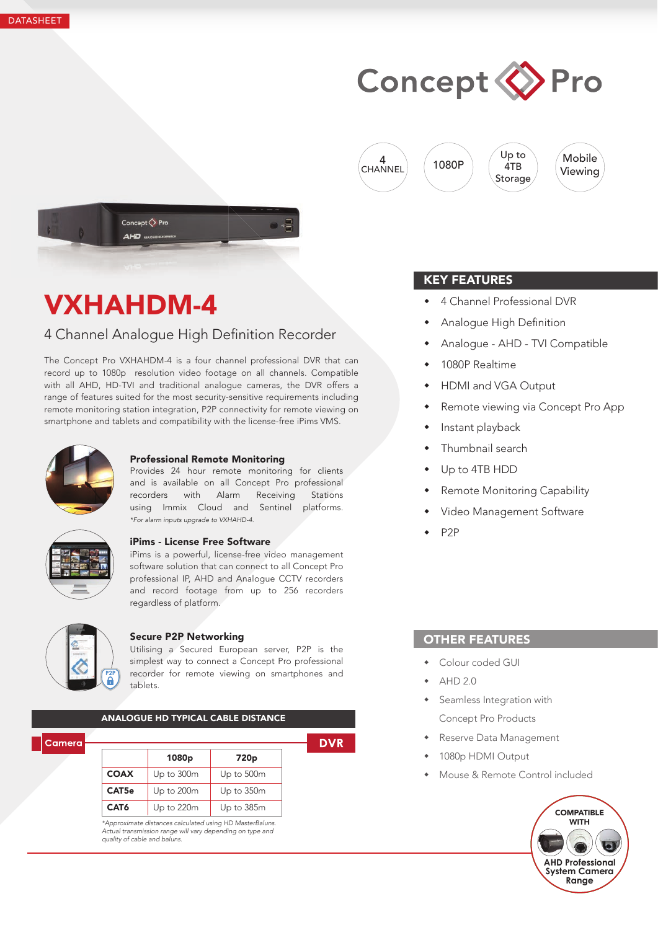

4  $\begin{pmatrix} 4 \\ CHANNEL \end{pmatrix}$  (1080P







# VXHAHDM-4

### 4 Channel Analoque High Definition Recorder

The Concept Pro VXHAHDM-4 is a four channel professional DVR that can record up to 1080p resolution video footage on all channels. Compatible with all AHD, HD-TVI and traditional analogue cameras, the DVR offers a range of features suited for the most security-sensitive requirements including remote monitoring station integration, P2P connectivity for remote viewing on smartphone and tablets and compatibility with the license-free iPims VMS.



### Professional Remote Monitoring

Provides 24 hour remote monitoring for clients and is available on all Concept Pro professional recorders with Alarm Receiving Stations using Immix Cloud and Sentinel platforms. *\*For alarm inputs upgrade to VXHAHD-4.*



#### iPims - License Free Software

iPims is a powerful, license-free video management software solution that can connect to all Concept Pro professional IP, AHD and Analogue CCTV recorders and record footage from up to 256 recorders regardless of platform.



### Secure P2P Networking

Utilising a Secured European server, P2P is the simplest way to connect a Concept Pro professional recorder for remote viewing on smartphones and tablets.

|             | 1080 <sub>p</sub> | 720 <sub>p</sub> |  |  |
|-------------|-------------------|------------------|--|--|
| <b>COAX</b> | Up to 300m        | Up to 500m       |  |  |
| CAT5e       | Up to 200m        | Up to 350m       |  |  |
| CAT6        | Up to 220m        | Up to 385m       |  |  |

### KEY FEATURES

- 4 Channel Professional DVR
- Analogue High Definition
- Analogue AHD TVI Compatible

Up to 4TB

- 1080P Realtime
- HDMI and VGA Output
- Remote viewing via Concept Pro App
- Instant playback
- Thumbnail search
- Up to 4TB HDD
- Remote Monitoring Capability
- Video Management Software
- P2P

### OTHER FEATURES

- Colour coded GUI
- AHD 2.0
- **\*** Seamless Integration with Concept Pro Products
- Reserve Data Management
- 1080p HDMI Output
- Mouse & Remote Control included

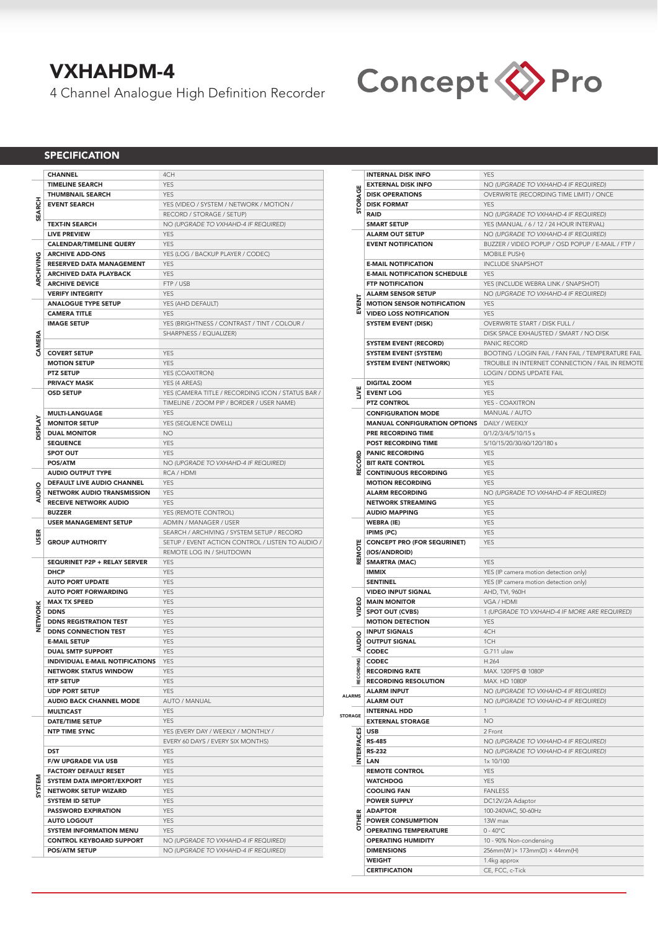### VXHAHDM-4

4 Channel Analogue High Definition Recorder



### **SPECIFICATION**

|                | <b>CHANNEL</b>                                          | 4CH                                                                          |
|----------------|---------------------------------------------------------|------------------------------------------------------------------------------|
|                | <b>TIMELINE SEARCH</b>                                  | <b>YES</b>                                                                   |
|                | <b>THUMBNAIL SEARCH</b>                                 | <b>YES</b>                                                                   |
| <b>SEARCH</b>  | <b>EVENT SEARCH</b>                                     | YES (VIDEO / SYSTEM / NETWORK / MOTION /                                     |
|                |                                                         |                                                                              |
|                |                                                         | RECORD / STORAGE / SETUP)                                                    |
|                | <b>TEXT-IN SEARCH</b>                                   | NO (UPGRADE TO VXHAHD-4 IF REQUIRED)                                         |
|                | <b>LIVE PREVIEW</b>                                     | <b>YES</b>                                                                   |
|                | <b>CALENDAR/TIMELINE QUERY</b>                          | <b>YES</b>                                                                   |
| ARCHIVING      | <b>ARCHIVE ADD-ONS</b>                                  | YES (LOG / BACKUP PLAYER / CODEC)                                            |
|                |                                                         |                                                                              |
|                | RESERVED DATA MANAGEMENT                                | <b>YES</b>                                                                   |
|                | <b>ARCHIVED DATA PLAYBACK</b>                           | <b>YES</b>                                                                   |
|                | <b>ARCHIVE DEVICE</b>                                   | FTP / USB                                                                    |
|                | <b>VERIFY INTEGRITY</b>                                 | <b>YES</b>                                                                   |
|                | <b>ANALOGUE TYPE SETUP</b>                              | YES (AHD DEFAULT)                                                            |
| CAMERA         | <b>CAMERA TITLE</b>                                     |                                                                              |
|                |                                                         | <b>YES</b>                                                                   |
|                | <b>IMAGE SETUP</b>                                      | YES (BRIGHTNESS / CONTRAST / TINT / COLOUR /                                 |
|                |                                                         | SHARPNESS / EQUALIZER)                                                       |
|                |                                                         |                                                                              |
|                | <b>COVERT SETUP</b>                                     | <b>YES</b>                                                                   |
|                | <b>MOTION SETUP</b>                                     |                                                                              |
|                |                                                         | <b>YES</b>                                                                   |
|                | <b>PTZ SETUP</b>                                        | YES (COAXITRON)                                                              |
|                | <b>PRIVACY MASK</b>                                     | YES (4 AREAS)                                                                |
|                | <b>OSD SETUP</b>                                        | YES (CAMERA TITLE / RECORDING ICON / STATUS BAR /                            |
| <b>DISPLAY</b> |                                                         | TIMELINE / ZOOM PIP / BORDER / USER NAME)                                    |
|                | <b>MULTI-LANGUAGE</b>                                   | <b>YES</b>                                                                   |
|                |                                                         |                                                                              |
|                | <b>MONITOR SETUP</b>                                    | YES (SEQUENCE DWELL)                                                         |
|                | <b>DUAL MONITOR</b>                                     | NO                                                                           |
|                | <b>SEQUENCE</b>                                         | <b>YES</b>                                                                   |
|                | <b>SPOT OUT</b>                                         | <b>YES</b>                                                                   |
|                | <b>POS/ATM</b>                                          | NO (UPGRADE TO VXHAHD-4 IF REQUIRED)                                         |
|                | <b>AUDIO OUTPUT TYPE</b>                                | RCA / HDMI                                                                   |
|                |                                                         |                                                                              |
|                | DEFAULT LIVE AUDIO CHANNEL                              | <b>YES</b>                                                                   |
| AUDIO          | <b>NETWORK AUDIO TRANSMISSION</b>                       | <b>YES</b>                                                                   |
|                | <b>RECEIVE NETWORK AUDIO</b>                            | <b>YES</b>                                                                   |
|                | <b>BUZZER</b>                                           | YES (REMOTE CONTROL)                                                         |
|                |                                                         |                                                                              |
|                |                                                         |                                                                              |
|                | <b>USER MANAGEMENT SETUP</b>                            | ADMIN / MANAGER / USER                                                       |
| 띥              |                                                         | SEARCH / ARCHIVING / SYSTEM SETUP / RECORD                                   |
| S              | <b>GROUP AUTHORITY</b>                                  | SETUP / EVENT ACTION CONTROL / LISTEN TO AUDIO /                             |
|                |                                                         | REMOTE LOG IN / SHUTDOWN                                                     |
|                | SEQURINET P2P + RELAY SERVER                            | <b>YES</b>                                                                   |
|                | <b>DHCP</b>                                             | <b>YES</b>                                                                   |
|                |                                                         |                                                                              |
|                | <b>AUTO PORT UPDATE</b>                                 | <b>YES</b>                                                                   |
|                | <b>AUTO PORT FORWARDING</b>                             | <b>YES</b>                                                                   |
|                | <b>MAX TX SPEED</b>                                     | <b>YES</b>                                                                   |
|                | <b>DDNS</b>                                             | <b>YES</b>                                                                   |
|                | <b>DDNS REGISTRATION TEST</b>                           | <b>YES</b>                                                                   |
| <b>NETWORK</b> | <b>DDNS CONNECTION TEST</b>                             | <b>YES</b>                                                                   |
|                |                                                         | <b>YES</b>                                                                   |
|                | <b>E-MAIL SETUP</b>                                     |                                                                              |
|                | <b>DUAL SMTP SUPPORT</b>                                | <b>YES</b>                                                                   |
|                | INDIVIDUAL E-MAIL NOTIFICATIONS                         | YES                                                                          |
|                | <b>NETWORK STATUS WINDOW</b>                            | YES                                                                          |
|                | <b>RTP SETUP</b>                                        | <b>YES</b>                                                                   |
|                | <b>UDP PORT SETUP</b>                                   | <b>YES</b>                                                                   |
|                |                                                         |                                                                              |
|                | <b>AUDIO BACK CHANNEL MODE</b>                          | AUTO / MANUAL                                                                |
|                | <b>MULTICAST</b>                                        | <b>YES</b>                                                                   |
|                | <b>DATE/TIME SETUP</b>                                  | YES                                                                          |
|                | <b>NTP TIME SYNC</b>                                    | YES (EVERY DAY / WEEKLY / MONTHLY /                                          |
|                |                                                         | EVERY 60 DAYS / EVERY SIX MONTHS)                                            |
|                | DST                                                     | <b>YES</b>                                                                   |
|                |                                                         |                                                                              |
|                | F/W UPGRADE VIA USB                                     | YES                                                                          |
|                | <b>FACTORY DEFAULT RESET</b>                            | YES                                                                          |
|                | <b>SYSTEM DATA IMPORT/EXPORT</b>                        | <b>YES</b>                                                                   |
| SYSTEM         | <b>NETWORK SETUP WIZARD</b>                             | <b>YES</b>                                                                   |
|                | <b>SYSTEM ID SETUP</b>                                  | YES                                                                          |
|                | <b>PASSWORD EXPIRATION</b>                              | YES                                                                          |
|                |                                                         | <b>YES</b>                                                                   |
|                | <b>AUTO LOGOUT</b>                                      |                                                                              |
|                | <b>SYSTEM INFORMATION MENU</b>                          | <b>YES</b>                                                                   |
|                | <b>CONTROL KEYBOARD SUPPORT</b><br><b>POS/ATM SETUP</b> | NO (UPGRADE TO VXHAHD-4 IF REQUIRED)<br>NO (UPGRADE TO VXHAHD-4 IF REQUIRED) |

|                   | <b>INTERNAL DISK INFO</b>                                    | <b>YES</b>                                         |
|-------------------|--------------------------------------------------------------|----------------------------------------------------|
|                   | <b>EXTERNAL DISK INFO</b>                                    | NO (UPGRADE TO VXHAHD-4 IF REQUIRED)               |
| STORAGE           | <b>DISK OPERATIONS</b>                                       | OVERWRITE (RECORDING TIME LIMIT) / ONCE            |
|                   |                                                              |                                                    |
|                   | <b>DISK FORMAT</b>                                           | <b>YES</b>                                         |
|                   | <b>RAID</b>                                                  | NO (UPGRADE TO VXHAHD-4 IF REQUIRED)               |
|                   | <b>SMART SETUP</b>                                           | YES (MANUAL / 6 / 12 / 24 HOUR INTERVAL)           |
|                   |                                                              |                                                    |
|                   | <b>ALARM OUT SETUP</b>                                       | NO (UPGRADE TO VXHAHD-4 IF REQUIRED)               |
|                   | <b>EVENT NOTIFICATION</b>                                    | BUZZER / VIDEO POPUP / OSD POPUP / E-MAIL / FTP /  |
|                   |                                                              | <b>MOBILE PUSH)</b>                                |
|                   | <b>E-MAIL NOTIFICATION</b>                                   | <b>INCLUDE SNAPSHOT</b>                            |
|                   |                                                              |                                                    |
|                   | <b>E-MAIL NOTIFICATION SCHEDULE</b>                          | <b>YES</b>                                         |
|                   | <b>FTP NOTIFICATION</b>                                      | YES (INCLUDE WEBRA LINK / SNAPSHOT)                |
|                   | <b>ALARM SENSOR SETUP</b>                                    | NO (UPGRADE TO VXHAHD-4 IF REQUIRED)               |
|                   | <b>MOTION SENSOR NOTIFICATION</b>                            | <b>YES</b>                                         |
| EVENT             |                                                              |                                                    |
|                   | <b>VIDEO LOSS NOTIFICATION</b>                               | <b>YES</b>                                         |
|                   | <b>SYSTEM EVENT (DISK)</b>                                   | OVERWRITE START / DISK FULL /                      |
|                   |                                                              | DISK SPACE EXHAUSTED / SMART / NO DISK             |
|                   | <b>SYSTEM EVENT (RECORD)</b>                                 | PANIC RECORD                                       |
|                   |                                                              |                                                    |
|                   | <b>SYSTEM EVENT (SYSTEM)</b>                                 | BOOTING / LOGIN FAIL / FAN FAIL / TEMPERATURE FAIL |
|                   | <b>SYSTEM EVENT (NETWORK)</b>                                | TROUBLE IN INTERNET CONNECTION / FAIL IN REMOTE    |
|                   |                                                              | LOGIN / DDNS UPDATE FAIL                           |
|                   |                                                              |                                                    |
|                   | <b>DIGITAL ZOOM</b>                                          | <b>YES</b>                                         |
| у                 | <b>EVENT LOG</b>                                             | <b>YES</b>                                         |
|                   | <b>PTZ CONTROL</b>                                           | YES - COAXITRON                                    |
|                   | <b>CONFIGURATION MODE</b>                                    | MANUAL / AUTO                                      |
|                   |                                                              |                                                    |
|                   | <b>MANUAL CONFIGURATION OPTIONS</b>                          | DAILY / WEEKLY                                     |
|                   | PRE RECORDING TIME                                           | 0/1/2/3/4/5/10/15 s                                |
|                   | <b>POST RECORDING TIME</b>                                   | 5/10/15/20/30/60/120/180 s                         |
|                   |                                                              |                                                    |
| RECORD            | <b>PANIC RECORDING</b>                                       | <b>YES</b>                                         |
|                   | <b>BIT RATE CONTROL</b>                                      | <b>YES</b>                                         |
|                   | <b>CONTINUOUS RECORDING</b>                                  | <b>YES</b>                                         |
|                   | <b>MOTION RECORDING</b>                                      | <b>YES</b>                                         |
|                   |                                                              |                                                    |
|                   | <b>ALARM RECORDING</b>                                       | NO (UPGRADE TO VXHAHD-4 IF REQUIRED)               |
|                   | <b>NETWORK STREAMING</b>                                     | <b>YES</b>                                         |
|                   | <b>AUDIO MAPPING</b>                                         | <b>YES</b>                                         |
|                   |                                                              |                                                    |
|                   | <b>WEBRA (IE)</b>                                            | <b>YES</b>                                         |
|                   | IPIMS (PC)                                                   | <b>YES</b>                                         |
|                   | <b>CONCEPT PRO (FOR SEQURINET)</b>                           | <b>YES</b>                                         |
| EMOTE             | (IOS/ANDROID)                                                |                                                    |
|                   |                                                              |                                                    |
|                   | <b>SMARTRA (MAC)</b>                                         | <b>YES</b>                                         |
|                   | <b>IMMIX</b>                                                 | YES (IP camera motion detection only)              |
|                   | <b>SENTINEL</b>                                              | YES (IP camera motion detection only)              |
|                   | <b>VIDEO INPUT SIGNAL</b>                                    | AHD, TVI, 960H                                     |
|                   |                                                              |                                                    |
|                   | <b>MAIN MONITOR</b>                                          | VGA / HDMI                                         |
|                   | <b>SPOT OUT (CVBS)</b>                                       | 1 (UPGRADE TO VXHAHD-4 IF MORE ARE REQUIRED)       |
|                   | <b>MOTION DETECTION</b>                                      | <b>YES</b>                                         |
|                   | <b>INPUT SIGNALS</b>                                         | 4CH                                                |
| ₫                 |                                                              |                                                    |
| ₫                 | <b>OUTPUT SIGNAL</b>                                         | 1CH                                                |
|                   | <b>CODEC</b>                                                 | G.711 ulaw                                         |
|                   |                                                              | H.264                                              |
|                   |                                                              |                                                    |
|                   | <b>PE CODEC</b><br>RECORI<br>RECORI<br><b>RECORDING RATE</b> | MAX. 120FPS @ 1080P                                |
|                   | <b>RECORDING RESOLUTION</b>                                  | MAX. HD 1080P                                      |
|                   | <b>ALARM INPUT</b>                                           | NO (UPGRADE TO VXHAHD-4 IF REQUIRED)               |
| <b>ALARMS</b>     | <b>ALARM OUT</b>                                             | NO (UPGRADE TO VXHAHD-4 IF REQUIRED)               |
|                   |                                                              | 1                                                  |
| <b>STORAGE</b>    | <b>INTERNAL HDD</b>                                          |                                                    |
|                   | <b>EXTERNAL STORAGE</b>                                      | NO.                                                |
|                   | <b>USB</b>                                                   | 2 Front                                            |
| <b>INTERFACES</b> | <b>RS-485</b>                                                | NO (UPGRADE TO VXHAHD-4 IF REQUIRED)               |
|                   |                                                              |                                                    |
|                   | <b>RS-232</b>                                                | NO (UPGRADE TO VXHAHD-4 IF REQUIRED)               |
|                   | LAN                                                          | 1x 10/100                                          |
|                   | <b>REMOTE CONTROL</b>                                        | <b>YES</b>                                         |
|                   | <b>WATCHDOG</b>                                              | <b>YES</b>                                         |
|                   |                                                              |                                                    |
|                   | <b>COOLING FAN</b>                                           | <b>FANLESS</b>                                     |
|                   | <b>POWER SUPPLY</b>                                          | DC12V/2A Adaptor                                   |
|                   | <b>ADAPTOR</b>                                               | 100-240VAC, 50-60Hz                                |
|                   |                                                              |                                                    |
| <b>OTHER</b>      | <b>POWER CONSUMPTION</b>                                     | 13W max                                            |
|                   | <b>OPERATING TEMPERATURE</b>                                 | $0 - 40^{\circ}$ C                                 |
|                   | <b>OPERATING HUMIDITY</b>                                    | 10 - 90% Non-condensing                            |
|                   | <b>DIMENSIONS</b>                                            | 256mm(W) × 173mm(D) × 44mm(H)                      |
|                   |                                                              |                                                    |
|                   | WEIGHT                                                       | 1.4kg approx                                       |
|                   | <b>CERTIFICATION</b>                                         | CE, FCC, c-Tick                                    |
|                   |                                                              |                                                    |